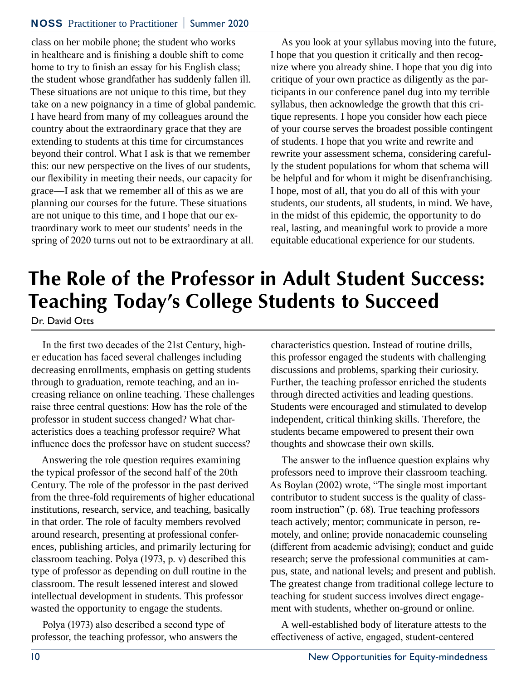#### NOSS Practitioner to Practitioner **|** Summer 2020

class on her mobile phone; the student who works in healthcare and is finishing a double shift to come home to try to finish an essay for his English class; the student whose grandfather has suddenly fallen ill. These situations are not unique to this time, but they take on a new poignancy in a time of global pandemic. I have heard from many of my colleagues around the country about the extraordinary grace that they are extending to students at this time for circumstances beyond their control. What I ask is that we remember this: our new perspective on the lives of our students, our flexibility in meeting their needs, our capacity for grace—I ask that we remember all of this as we are planning our courses for the future. These situations are not unique to this time, and I hope that our extraordinary work to meet our students' needs in the spring of 2020 turns out not to be extraordinary at all.

As you look at your syllabus moving into the future, I hope that you question it critically and then recognize where you already shine. I hope that you dig into critique of your own practice as diligently as the participants in our conference panel dug into my terrible syllabus, then acknowledge the growth that this critique represents. I hope you consider how each piece of your course serves the broadest possible contingent of students. I hope that you write and rewrite and rewrite your assessment schema, considering carefully the student populations for whom that schema will be helpful and for whom it might be disenfranchising. I hope, most of all, that you do all of this with your students, our students, all students, in mind. We have, in the midst of this epidemic, the opportunity to do real, lasting, and meaningful work to provide a more equitable educational experience for our students.

# **The Role of the Professor in Adult Student Success: Teaching Today's College Students to Succeed**

Dr. David Otts

In the first two decades of the 21st Century, higher education has faced several challenges including decreasing enrollments, emphasis on getting students through to graduation, remote teaching, and an increasing reliance on online teaching. These challenges raise three central questions: How has the role of the professor in student success changed? What characteristics does a teaching professor require? What influence does the professor have on student success?

Answering the role question requires examining the typical professor of the second half of the 20th Century. The role of the professor in the past derived from the three-fold requirements of higher educational institutions, research, service, and teaching, basically in that order. The role of faculty members revolved around research, presenting at professional conferences, publishing articles, and primarily lecturing for classroom teaching. Polya (1973, p. v) described this type of professor as depending on dull routine in the classroom. The result lessened interest and slowed intellectual development in students. This professor wasted the opportunity to engage the students.

Polya (1973) also described a second type of professor, the teaching professor, who answers the

characteristics question. Instead of routine drills, this professor engaged the students with challenging discussions and problems, sparking their curiosity. Further, the teaching professor enriched the students through directed activities and leading questions. Students were encouraged and stimulated to develop independent, critical thinking skills. Therefore, the students became empowered to present their own thoughts and showcase their own skills.

The answer to the influence question explains why professors need to improve their classroom teaching. As Boylan (2002) wrote, "The single most important contributor to student success is the quality of classroom instruction" (p. 68). True teaching professors teach actively; mentor; communicate in person, remotely, and online; provide nonacademic counseling (different from academic advising); conduct and guide research; serve the professional communities at campus, state, and national levels; and present and publish. The greatest change from traditional college lecture to teaching for student success involves direct engagement with students, whether on-ground or online.

A well-established body of literature attests to the effectiveness of active, engaged, student-centered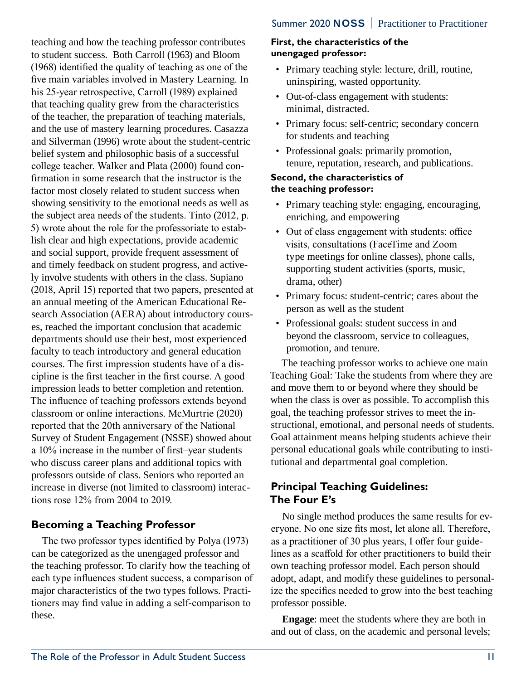teaching and how the teaching professor contributes to student success. Both Carroll (1963) and Bloom (1968) identified the quality of teaching as one of the five main variables involved in Mastery Learning. In his 25-year retrospective, Carroll (1989) explained that teaching quality grew from the characteristics of the teacher, the preparation of teaching materials, and the use of mastery learning procedures. Casazza and Silverman (1996) wrote about the student-centric belief system and philosophic basis of a successful college teacher. Walker and Plata (2000) found confirmation in some research that the instructor is the factor most closely related to student success when showing sensitivity to the emotional needs as well as the subject area needs of the students. Tinto (2012, p. 5) wrote about the role for the professoriate to establish clear and high expectations, provide academic and social support, provide frequent assessment of and timely feedback on student progress, and actively involve students with others in the class. Supiano (2018, April 15) reported that two papers, presented at an annual meeting of the American Educational Research Association (AERA) about introductory courses, reached the important conclusion that academic departments should use their best, most experienced faculty to teach introductory and general education courses. The first impression students have of a discipline is the first teacher in the first course. A good impression leads to better completion and retention. The influence of teaching professors extends beyond classroom or online interactions. McMurtrie (2020) reported that the 20th anniversary of the National Survey of Student Engagement (NSSE) showed about a 10% increase in the number of first–year students who discuss career plans and additional topics with professors outside of class. Seniors who reported an increase in diverse (not limited to classroom) interactions rose 12% from 2004 to 2019.

# **Becoming a Teaching Professor**

The two professor types identified by Polya (1973) can be categorized as the unengaged professor and the teaching professor. To clarify how the teaching of each type influences student success, a comparison of major characteristics of the two types follows. Practitioners may find value in adding a self-comparison to these.

#### **First, the characteristics of the unengaged professor:**

- Primary teaching style: lecture, drill, routine, uninspiring, wasted opportunity.
- Out-of-class engagement with students: minimal, distracted.
- Primary focus: self-centric; secondary concern for students and teaching
- Professional goals: primarily promotion, tenure, reputation, research, and publications.

#### **Second, the characteristics of the teaching professor:**

- Primary teaching style: engaging, encouraging, enriching, and empowering
- Out of class engagement with students: office visits, consultations (FaceTime and Zoom type meetings for online classes), phone calls, supporting student activities (sports, music, drama, other)
- Primary focus: student-centric; cares about the person as well as the student
- Professional goals: student success in and beyond the classroom, service to colleagues, promotion, and tenure.

The teaching professor works to achieve one main Teaching Goal: Take the students from where they are and move them to or beyond where they should be when the class is over as possible. To accomplish this goal, the teaching professor strives to meet the instructional, emotional, and personal needs of students. Goal attainment means helping students achieve their personal educational goals while contributing to institutional and departmental goal completion.

# **Principal Teaching Guidelines: The Four E's**

No single method produces the same results for everyone. No one size fits most, let alone all. Therefore, as a practitioner of 30 plus years, I offer four guidelines as a scaffold for other practitioners to build their own teaching professor model. Each person should adopt, adapt, and modify these guidelines to personalize the specifics needed to grow into the best teaching professor possible.

**Engage**: meet the students where they are both in and out of class, on the academic and personal levels;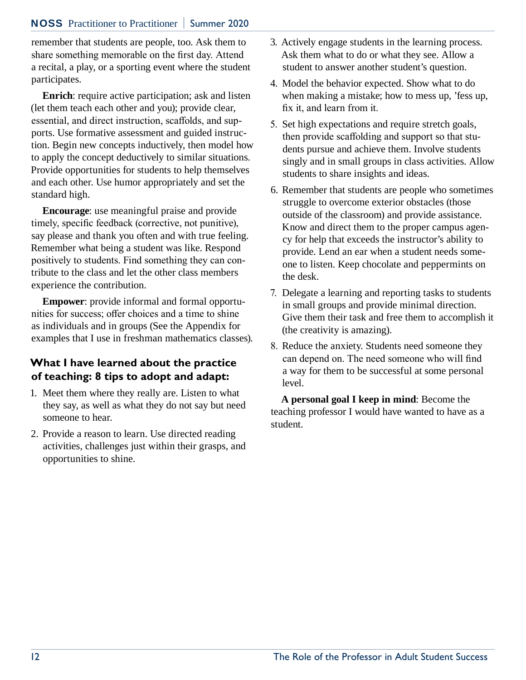#### NOSS Practitioner to Practitioner **|** Summer 2020

remember that students are people, too. Ask them to share something memorable on the first day. Attend a recital, a play, or a sporting event where the student participates.

**Enrich**: require active participation; ask and listen (let them teach each other and you); provide clear, essential, and direct instruction, scaffolds, and supports. Use formative assessment and guided instruction. Begin new concepts inductively, then model how to apply the concept deductively to similar situations. Provide opportunities for students to help themselves and each other. Use humor appropriately and set the standard high.

**Encourage**: use meaningful praise and provide timely, specific feedback (corrective, not punitive), say please and thank you often and with true feeling. Remember what being a student was like. Respond positively to students. Find something they can contribute to the class and let the other class members experience the contribution.

**Empower**: provide informal and formal opportunities for success; offer choices and a time to shine as individuals and in groups (See the Appendix for examples that I use in freshman mathematics classes).

## **What I have learned about the practice of teaching: 8 tips to adopt and adapt:**

- 1. Meet them where they really are. Listen to what they say, as well as what they do not say but need someone to hear.
- 2. Provide a reason to learn. Use directed reading activities, challenges just within their grasps, and opportunities to shine.
- 3. Actively engage students in the learning process. Ask them what to do or what they see. Allow a student to answer another student's question.
- 4. Model the behavior expected. Show what to do when making a mistake; how to mess up, 'fess up, fix it, and learn from it.
- 5. Set high expectations and require stretch goals, then provide scaffolding and support so that students pursue and achieve them. Involve students singly and in small groups in class activities. Allow students to share insights and ideas.
- 6. Remember that students are people who sometimes struggle to overcome exterior obstacles (those outside of the classroom) and provide assistance. Know and direct them to the proper campus agency for help that exceeds the instructor's ability to provide. Lend an ear when a student needs someone to listen. Keep chocolate and peppermints on the desk.
- 7. Delegate a learning and reporting tasks to students in small groups and provide minimal direction. Give them their task and free them to accomplish it (the creativity is amazing).
- 8. Reduce the anxiety. Students need someone they can depend on. The need someone who will find a way for them to be successful at some personal level.

**A personal goal I keep in mind**: Become the teaching professor I would have wanted to have as a student.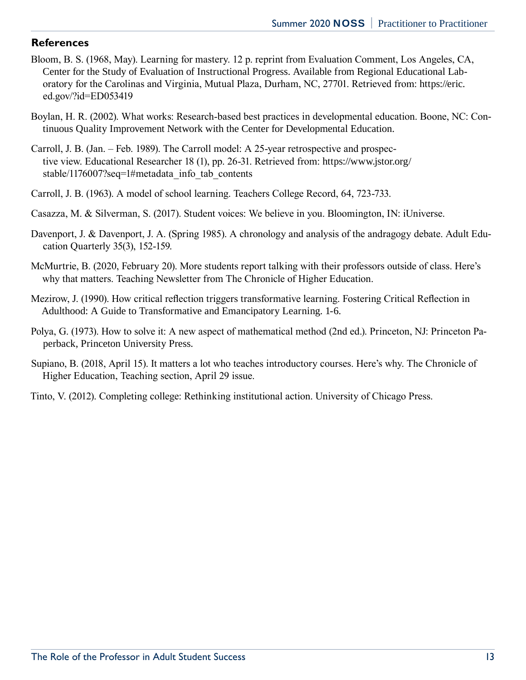### **References**

- Bloom, B. S. (1968, May). Learning for mastery. 12 p. reprint from Evaluation Comment, Los Angeles, CA, Center for the Study of Evaluation of Instructional Progress. Available from Regional Educational Laboratory for the Carolinas and Virginia, Mutual Plaza, Durham, NC, 27701. Retrieved from: https://eric. ed.gov/?id=ED053419
- Boylan, H. R. (2002). What works: Research-based best practices in developmental education. Boone, NC: Continuous Quality Improvement Network with the Center for Developmental Education.
- Carroll, J. B. (Jan. Feb. 1989). The Carroll model: A 25-year retrospective and prospective view. Educational Researcher 18 (1), pp. 26-31. Retrieved from: https://www.jstor.org/ stable/1176007?seq=1#metadata\_info\_tab\_contents
- Carroll, J. B. (1963). A model of school learning. Teachers College Record, 64, 723-733.
- Casazza, M. & Silverman, S. (2017). Student voices: We believe in you. Bloomington, IN: iUniverse.
- Davenport, J. & Davenport, J. A. (Spring 1985). A chronology and analysis of the andragogy debate. Adult Education Quarterly 35(3), 152-159.
- McMurtrie, B. (2020, February 20). More students report talking with their professors outside of class. Here's why that matters. Teaching Newsletter from The Chronicle of Higher Education.
- Mezirow, J. (1990). How critical reflection triggers transformative learning. Fostering Critical Reflection in Adulthood: A Guide to Transformative and Emancipatory Learning. 1-6.
- Polya, G. (1973). How to solve it: A new aspect of mathematical method (2nd ed.). Princeton, NJ: Princeton Paperback, Princeton University Press.
- Supiano, B. (2018, April 15). It matters a lot who teaches introductory courses. Here's why. The Chronicle of Higher Education, Teaching section, April 29 issue.
- Tinto, V. (2012). Completing college: Rethinking institutional action. University of Chicago Press.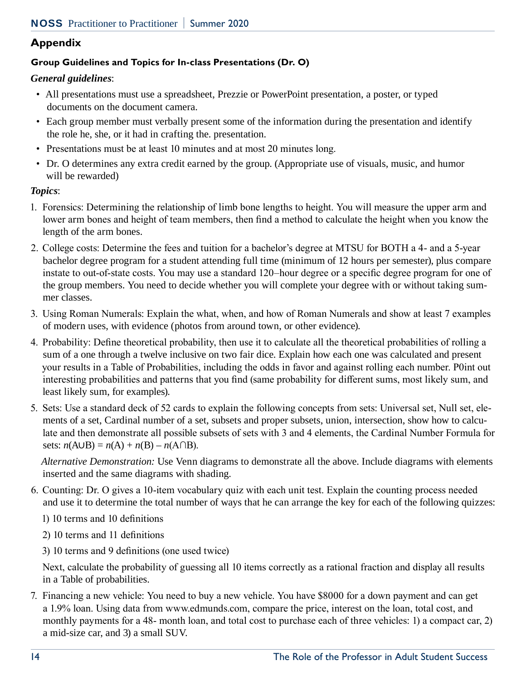# **Appendix**

## **Group Guidelines and Topics for In-class Presentations (Dr. O)**

## *General guidelines*:

- All presentations must use a spreadsheet, Prezzie or PowerPoint presentation, a poster, or typed documents on the document camera.
- Each group member must verbally present some of the information during the presentation and identify the role he, she, or it had in crafting the. presentation.
- Presentations must be at least 10 minutes and at most 20 minutes long.
- Dr. O determines any extra credit earned by the group. (Appropriate use of visuals, music, and humor will be rewarded)

#### *Topics*:

- 1. Forensics: Determining the relationship of limb bone lengths to height. You will measure the upper arm and lower arm bones and height of team members, then find a method to calculate the height when you know the length of the arm bones.
- 2. College costs: Determine the fees and tuition for a bachelor's degree at MTSU for BOTH a 4- and a 5-year bachelor degree program for a student attending full time (minimum of 12 hours per semester), plus compare instate to out-of-state costs. You may use a standard 120–hour degree or a specific degree program for one of the group members. You need to decide whether you will complete your degree with or without taking summer classes.
- 3. Using Roman Numerals: Explain the what, when, and how of Roman Numerals and show at least 7 examples of modern uses, with evidence (photos from around town, or other evidence).
- 4. Probability: Define theoretical probability, then use it to calculate all the theoretical probabilities of rolling a sum of a one through a twelve inclusive on two fair dice. Explain how each one was calculated and present your results in a Table of Probabilities, including the odds in favor and against rolling each number. P0int out interesting probabilities and patterns that you find (same probability for different sums, most likely sum, and least likely sum, for examples).
- 5. Sets: Use a standard deck of 52 cards to explain the following concepts from sets: Universal set, Null set, elements of a set, Cardinal number of a set, subsets and proper subsets, union, intersection, show how to calculate and then demonstrate all possible subsets of sets with 3 and 4 elements, the Cardinal Number Formula for sets:  $n(A \cup B) = n(A) + n(B) - n(A \cap B)$ .

*Alternative Demonstration:* Use Venn diagrams to demonstrate all the above. Include diagrams with elements inserted and the same diagrams with shading.

- 6. Counting: Dr. O gives a 10-item vocabulary quiz with each unit test. Explain the counting process needed and use it to determine the total number of ways that he can arrange the key for each of the following quizzes:
	- 1) 10 terms and 10 definitions
	- 2) 10 terms and 11 definitions
	- 3) 10 terms and 9 definitions (one used twice)

Next, calculate the probability of guessing all 10 items correctly as a rational fraction and display all results in a Table of probabilities.

7. Financing a new vehicle: You need to buy a new vehicle. You have \$8000 for a down payment and can get a 1.9% loan. Using data from www.edmunds.com, compare the price, interest on the loan, total cost, and monthly payments for a 48- month loan, and total cost to purchase each of three vehicles: 1) a compact car, 2) a mid-size car, and 3) a small SUV.